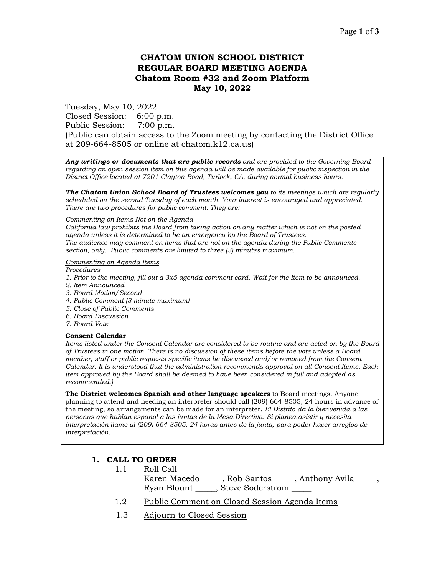# **CHATOM UNION SCHOOL DISTRICT REGULAR BOARD MEETING AGENDA Chatom Room #32 and Zoom Platform May 10, 2022**

Tuesday, May 10, 2022 Closed Session: 6:00 p.m. Public Session: 7:00 p.m. (Public can obtain access to the Zoom meeting by contacting the District Office at 209-664-8505 or online at chatom.k12.ca.us)

*Any writings or documents that are public records and are provided to the Governing Board regarding an open session item on this agenda will be made available for public inspection in the District Office located at 7201 Clayton Road, Turlock, CA, during normal business hours.*

*The Chatom Union School Board of Trustees welcomes you to its meetings which are regularly scheduled on the second Tuesday of each month. Your interest is encouraged and appreciated. There are two procedures for public comment. They are:*

#### *Commenting on Items Not on the Agenda*

*California law prohibits the Board from taking action on any matter which is not on the posted agenda unless it is determined to be an emergency by the Board of Trustees. The audience may comment on items that are not on the agenda during the Public Comments section, only. Public comments are limited to three (3) minutes maximum.*

#### *Commenting on Agenda Items*

*Procedures* 

- *1. Prior to the meeting, fill out a 3x5 agenda comment card. Wait for the Item to be announced.*
- *2. Item Announced*
- *3. Board Motion/Second*
- *4. Public Comment (3 minute maximum)*
- *5. Close of Public Comments*
- *6. Board Discussion*
- *7. Board Vote*

#### **Consent Calendar**

*Items listed under the Consent Calendar are considered to be routine and are acted on by the Board of Trustees in one motion. There is no discussion of these items before the vote unless a Board member, staff or public requests specific items be discussed and/or removed from the Consent Calendar. It is understood that the administration recommends approval on all Consent Items. Each item approved by the Board shall be deemed to have been considered in full and adopted as recommended.)*

**The District welcomes Spanish and other language speakers** to Board meetings. Anyone planning to attend and needing an interpreter should call (209) 664-8505, 24 hours in advance of the meeting, so arrangements can be made for an interpreter. *El Distrito da la bienvenida a las personas que hablan español a las juntas de la Mesa Directiva. Si planea asistir y necesita interpretación llame al (209) 664-8505, 24 horas antes de la junta, para poder hacer arreglos de interpretación.*

### **1. CALL TO ORDER**

- 1.1 Roll Call
	- Karen Macedo \_\_\_\_\_, Rob Santos \_\_\_\_\_, Anthony Avila \_\_\_\_\_, Ryan Blount \_\_\_\_\_, Steve Soderstrom \_\_\_\_\_
- 1.2 Public Comment on Closed Session Agenda Items
- 1.3 Adjourn to Closed Session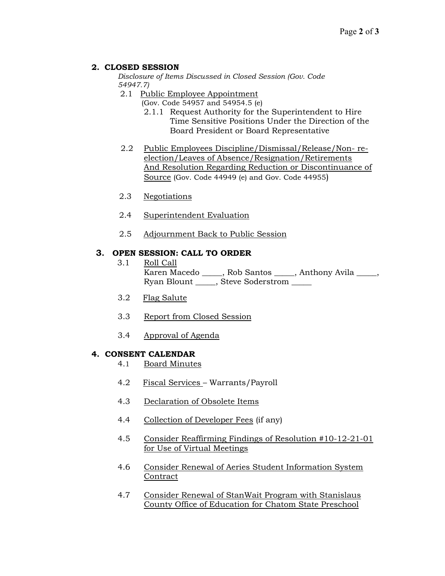## **2. CLOSED SESSION**

*Disclosure of Items Discussed in Closed Session (Gov. Code 54947.7)*

- 2.1 Public Employee Appointment
	- (Gov. Code 54957 and 54954.5 (e)
	- 2.1.1 Request Authority for the Superintendent to Hire Time Sensitive Positions Under the Direction of the Board President or Board Representative
- 2.2 Public Employees Discipline/Dismissal/Release/Non- reelection/Leaves of Absence/Resignation/Retirements And Resolution Regarding Reduction or Discontinuance of Source (Gov. Code 44949 (e) and Gov. Code 44955)
- 2.3 Negotiations
- 2.4 Superintendent Evaluation
- 2.5 Adjournment Back to Public Session

## **3. OPEN SESSION: CALL TO ORDER**

- 3.1 Roll Call Karen Macedo \_\_\_\_\_, Rob Santos \_\_\_\_\_, Anthony Avila \_\_\_\_\_, Ryan Blount \_\_\_\_\_, Steve Soderstrom \_\_\_\_\_
- 3.2 Flag Salute
- 3.3 Report from Closed Session
- 3.4 Approval of Agenda

### **4. CONSENT CALENDAR**

- 4.1 Board Minutes
- 4.2 Fiscal Services Warrants/Payroll
- 4.3 Declaration of Obsolete Items
- 4.4 Collection of Developer Fees (if any)
- 4.5 Consider Reaffirming Findings of Resolution #10-12-21-01 for Use of Virtual Meetings
- 4.6 Consider Renewal of Aeries Student Information System Contract
- 4.7 Consider Renewal of StanWait Program with Stanislaus County Office of Education for Chatom State Preschool